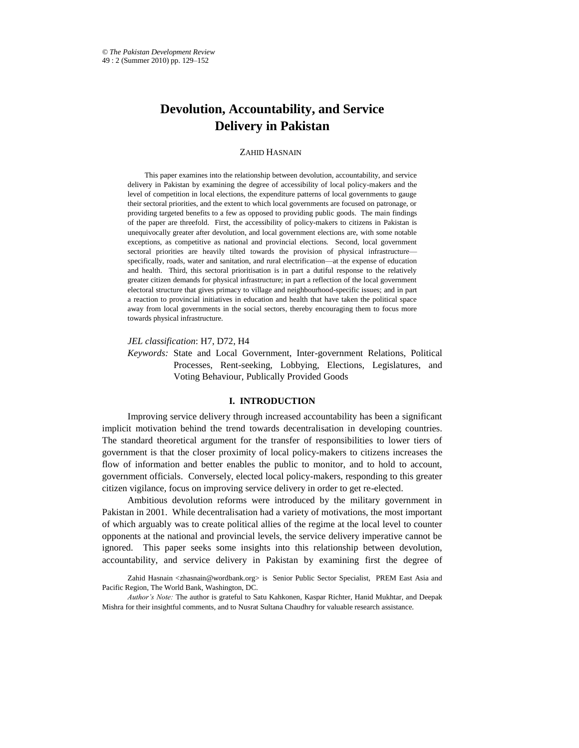# **Devolution, Accountability, and Service Delivery in Pakistan**

# ZAHID HASNAIN\*

This paper examines into the relationship between devolution, accountability, and service delivery in Pakistan by examining the degree of accessibility of local policy-makers and the level of competition in local elections, the expenditure patterns of local governments to gauge their sectoral priorities, and the extent to which local governments are focused on patronage, or providing targeted benefits to a few as opposed to providing public goods. The main findings of the paper are threefold. First, the accessibility of policy-makers to citizens in Pakistan is unequivocally greater after devolution, and local government elections are, with some notable exceptions, as competitive as national and provincial elections. Second, local government sectoral priorities are heavily tilted towards the provision of physical infrastructure specifically, roads, water and sanitation, and rural electrification—at the expense of education and health. Third, this sectoral prioritisation is in part a dutiful response to the relatively greater citizen demands for physical infrastructure; in part a reflection of the local government electoral structure that gives primacy to village and neighbourhood-specific issues; and in part a reaction to provincial initiatives in education and health that have taken the political space away from local governments in the social sectors, thereby encouraging them to focus more towards physical infrastructure.

*JEL classification*: H7, D72, H4

*Keywords:* State and Local Government, Inter-government Relations, Political Processes, Rent-seeking, Lobbying, Elections, Legislatures, and Voting Behaviour, Publically Provided Goods

# **I. INTRODUCTION**

Improving service delivery through increased accountability has been a significant implicit motivation behind the trend towards decentralisation in developing countries. The standard theoretical argument for the transfer of responsibilities to lower tiers of government is that the closer proximity of local policy-makers to citizens increases the flow of information and better enables the public to monitor, and to hold to account, government officials. Conversely, elected local policy-makers, responding to this greater citizen vigilance, focus on improving service delivery in order to get re-elected.

Ambitious devolution reforms were introduced by the military government in Pakistan in 2001. While decentralisation had a variety of motivations, the most important of which arguably was to create political allies of the regime at the local level to counter opponents at the national and provincial levels, the service delivery imperative cannot be ignored. This paper seeks some insights into this relationship between devolution, accountability, and service delivery in Pakistan by examining first the degree of

Zahid Hasnain [<zhasnain@wordbank.org>](mailto:zhasnain@wordbank.org) is Senior Public Sector Specialist, PREM East Asia and Pacific Region, The World Bank, Washington, DC.

*Author's Note:* The author is grateful to Satu Kahkonen, Kaspar Richter, Hanid Mukhtar, and Deepak Mishra for their insightful comments, and to Nusrat Sultana Chaudhry for valuable research assistance.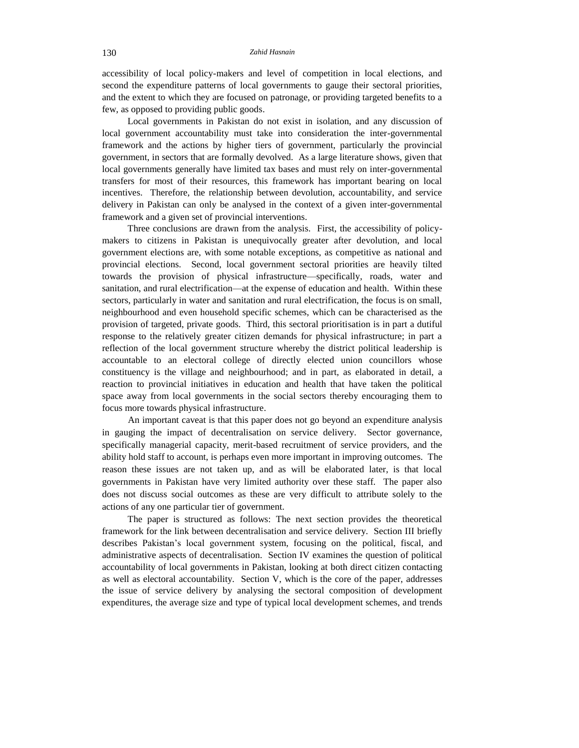accessibility of local policy-makers and level of competition in local elections, and second the expenditure patterns of local governments to gauge their sectoral priorities, and the extent to which they are focused on patronage, or providing targeted benefits to a few, as opposed to providing public goods.

Local governments in Pakistan do not exist in isolation, and any discussion of local government accountability must take into consideration the inter-governmental framework and the actions by higher tiers of government, particularly the provincial government, in sectors that are formally devolved. As a large literature shows, given that local governments generally have limited tax bases and must rely on inter-governmental transfers for most of their resources, this framework has important bearing on local incentives. Therefore, the relationship between devolution, accountability, and service delivery in Pakistan can only be analysed in the context of a given inter-governmental framework and a given set of provincial interventions.

Three conclusions are drawn from the analysis. First, the accessibility of policymakers to citizens in Pakistan is unequivocally greater after devolution, and local government elections are, with some notable exceptions, as competitive as national and provincial elections. Second, local government sectoral priorities are heavily tilted towards the provision of physical infrastructure—specifically, roads, water and sanitation, and rural electrification—at the expense of education and health. Within these sectors, particularly in water and sanitation and rural electrification, the focus is on small, neighbourhood and even household specific schemes, which can be characterised as the provision of targeted, private goods. Third, this sectoral prioritisation is in part a dutiful response to the relatively greater citizen demands for physical infrastructure; in part a reflection of the local government structure whereby the district political leadership is accountable to an electoral college of directly elected union councillors whose constituency is the village and neighbourhood; and in part, as elaborated in detail, a reaction to provincial initiatives in education and health that have taken the political space away from local governments in the social sectors thereby encouraging them to focus more towards physical infrastructure.

An important caveat is that this paper does not go beyond an expenditure analysis in gauging the impact of decentralisation on service delivery. Sector governance, specifically managerial capacity, merit-based recruitment of service providers, and the ability hold staff to account, is perhaps even more important in improving outcomes. The reason these issues are not taken up, and as will be elaborated later, is that local governments in Pakistan have very limited authority over these staff. The paper also does not discuss social outcomes as these are very difficult to attribute solely to the actions of any one particular tier of government.

The paper is structured as follows: The next section provides the theoretical framework for the link between decentralisation and service delivery. Section III briefly describes Pakistan's local government system, focusing on the political, fiscal, and administrative aspects of decentralisation. Section IV examines the question of political accountability of local governments in Pakistan, looking at both direct citizen contacting as well as electoral accountability. Section V, which is the core of the paper, addresses the issue of service delivery by analysing the sectoral composition of development expenditures, the average size and type of typical local development schemes, and trends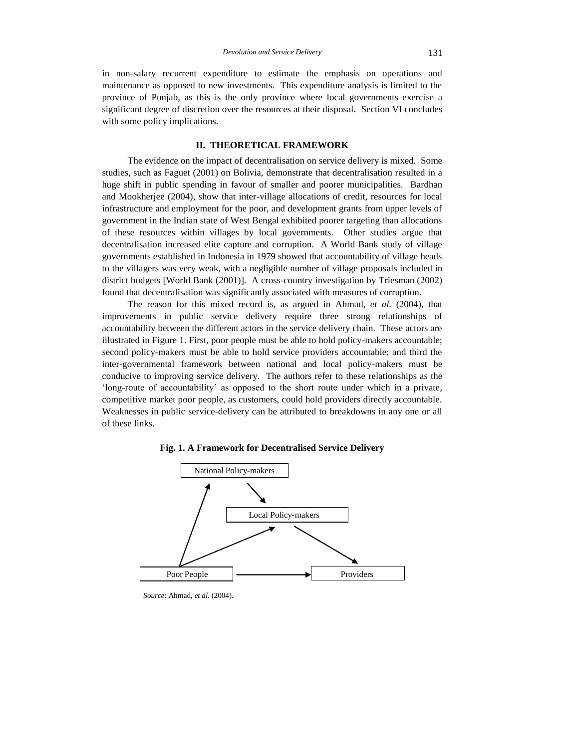in non-salary recurrent expenditure to estimate the emphasis on operations and maintenance as opposed to new investments. This expenditure analysis is limited to the province of Punjab, as this is the only province where local governments exercise a significant degree of discretion over the resources at their disposal. Section VI concludes with some policy implications.

# **II. THEORETICAL FRAMEWORK**

The evidence on the impact of decentralisation on service delivery is mixed. Some studies, such as Faguet (2001) on Bolivia, demonstrate that decentralisation resulted in a huge shift in public spending in favour of smaller and poorer municipalities. Bardhan and Mookherjee (2004), show that inter-village allocations of credit, resources for local infrastructure and employment for the poor, and development grants from upper levels of government in the Indian state of West Bengal exhibited poorer targeting than allocations of these resources within villages by local governments. Other studies argue that decentralisation increased elite capture and corruption. A World Bank study of village governments established in Indonesia in 1979 showed that accountability of village heads to the villagers was very weak, with a negligible number of village proposals included in district budgets [World Bank (2001)]. A cross-country investigation by Triesman (2002) found that decentralisation was significantly associated with measures of corruption.

The reason for this mixed record is, as argued in Ahmad, *et al.* (2004), that improvements in public service delivery require three strong relationships of accountability between the different actors in the service delivery chain. These actors are illustrated in Figure 1. First, poor people must be able to hold policy-makers accountable; second policy-makers must be able to hold service providers accountable; and third the inter-governmental framework between national and local policy-makers must be conducive to improving service delivery. The authors refer to these relationships as the 'long-route of accountability' as opposed to the short route under which in a private, competitive market poor people, as customers, could hold providers directly accountable. Weaknesses in public service-delivery can be attributed to breakdowns in any one or all of these links.



**Fig. 1. A Framework for Decentralised Service Delivery**

*Source*: Ahmad, *et al.* (2004).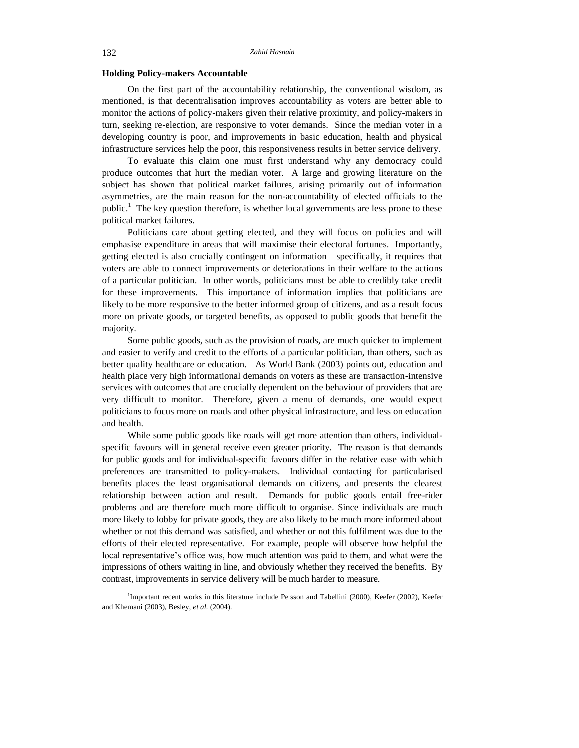## **Holding Policy-makers Accountable**

On the first part of the accountability relationship, the conventional wisdom, as mentioned, is that decentralisation improves accountability as voters are better able to monitor the actions of policy-makers given their relative proximity, and policy-makers in turn, seeking re-election, are responsive to voter demands. Since the median voter in a developing country is poor, and improvements in basic education, health and physical infrastructure services help the poor, this responsiveness results in better service delivery.

To evaluate this claim one must first understand why any democracy could produce outcomes that hurt the median voter. A large and growing literature on the subject has shown that political market failures, arising primarily out of information asymmetries, are the main reason for the non-accountability of elected officials to the public.<sup>1</sup> The key question therefore, is whether local governments are less prone to these political market failures.

Politicians care about getting elected, and they will focus on policies and will emphasise expenditure in areas that will maximise their electoral fortunes. Importantly, getting elected is also crucially contingent on information—specifically, it requires that voters are able to connect improvements or deteriorations in their welfare to the actions of a particular politician. In other words, politicians must be able to credibly take credit for these improvements. This importance of information implies that politicians are likely to be more responsive to the better informed group of citizens, and as a result focus more on private goods, or targeted benefits, as opposed to public goods that benefit the majority.

Some public goods, such as the provision of roads, are much quicker to implement and easier to verify and credit to the efforts of a particular politician, than others, such as better quality healthcare or education. As World Bank (2003) points out, education and health place very high informational demands on voters as these are transaction-intensive services with outcomes that are crucially dependent on the behaviour of providers that are very difficult to monitor. Therefore, given a menu of demands, one would expect politicians to focus more on roads and other physical infrastructure, and less on education and health.

While some public goods like roads will get more attention than others, individualspecific favours will in general receive even greater priority. The reason is that demands for public goods and for individual-specific favours differ in the relative ease with which preferences are transmitted to policy-makers. Individual contacting for particularised benefits places the least organisational demands on citizens, and presents the clearest relationship between action and result. Demands for public goods entail free-rider problems and are therefore much more difficult to organise. Since individuals are much more likely to lobby for private goods, they are also likely to be much more informed about whether or not this demand was satisfied, and whether or not this fulfilment was due to the efforts of their elected representative. For example, people will observe how helpful the local representative's office was, how much attention was paid to them, and what were the impressions of others waiting in line, and obviously whether they received the benefits. By contrast, improvements in service delivery will be much harder to measure.

<sup>1</sup>Important recent works in this literature include Persson and Tabellini (2000), Keefer (2002), Keefer and Khemani (2003), Besley, *et al.* (2004).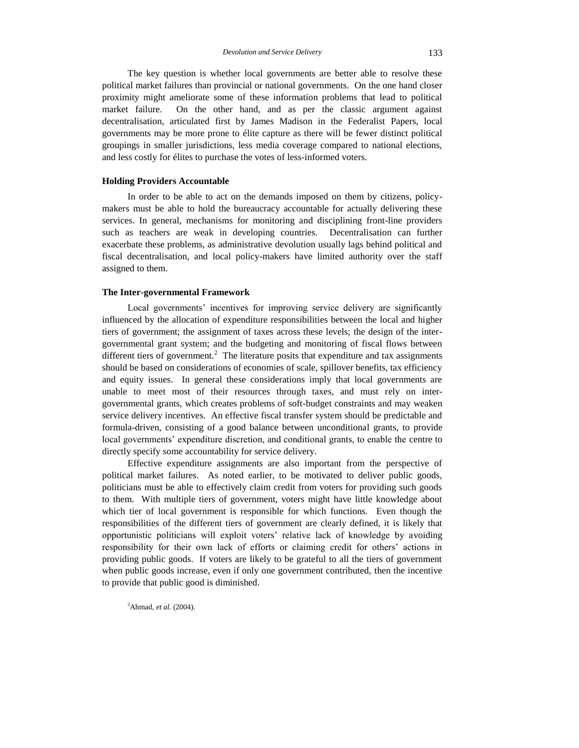The key question is whether local governments are better able to resolve these political market failures than provincial or national governments. On the one hand closer proximity might ameliorate some of these information problems that lead to political market failure. On the other hand, and as per the classic argument against decentralisation, articulated first by James Madison in the Federalist Papers, local governments may be more prone to élite capture as there will be fewer distinct political groupings in smaller jurisdictions, less media coverage compared to national elections, and less costly for élites to purchase the votes of less-informed voters.

## **Holding Providers Accountable**

In order to be able to act on the demands imposed on them by citizens, policymakers must be able to hold the bureaucracy accountable for actually delivering these services. In general, mechanisms for monitoring and disciplining front-line providers such as teachers are weak in developing countries. Decentralisation can further exacerbate these problems, as administrative devolution usually lags behind political and fiscal decentralisation, and local policy-makers have limited authority over the staff assigned to them.

## **The Inter-governmental Framework**

Local governments' incentives for improving service delivery are significantly influenced by the allocation of expenditure responsibilities between the local and higher tiers of government; the assignment of taxes across these levels; the design of the intergovernmental grant system; and the budgeting and monitoring of fiscal flows between different tiers of government.<sup>2</sup> The literature posits that expenditure and tax assignments should be based on considerations of economies of scale, spillover benefits, tax efficiency and equity issues. In general these considerations imply that local governments are unable to meet most of their resources through taxes, and must rely on intergovernmental grants, which creates problems of soft-budget constraints and may weaken service delivery incentives. An effective fiscal transfer system should be predictable and formula-driven, consisting of a good balance between unconditional grants, to provide local governments' expenditure discretion, and conditional grants, to enable the centre to directly specify some accountability for service delivery.

Effective expenditure assignments are also important from the perspective of political market failures. As noted earlier, to be motivated to deliver public goods, politicians must be able to effectively claim credit from voters for providing such goods to them. With multiple tiers of government, voters might have little knowledge about which tier of local government is responsible for which functions. Even though the responsibilities of the different tiers of government are clearly defined, it is likely that opportunistic politicians will exploit voters' relative lack of knowledge by avoiding responsibility for their own lack of efforts or claiming credit for others' actions in providing public goods. If voters are likely to be grateful to all the tiers of government when public goods increase, even if only one government contributed, then the incentive to provide that public good is diminished.

<sup>2</sup>Ahmad, *et al.* (2004).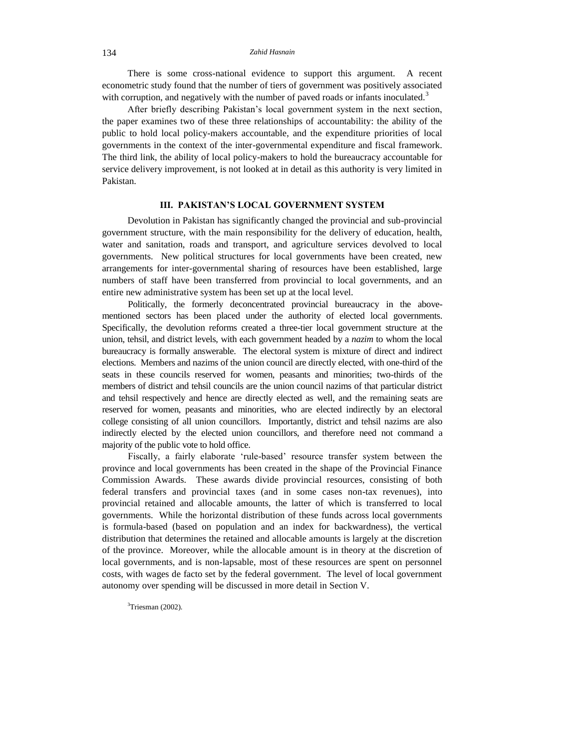There is some cross-national evidence to support this argument. A recent econometric study found that the number of tiers of government was positively associated with corruption, and negatively with the number of paved roads or infants inoculated.<sup>3</sup>

After briefly describing Pakistan's local government system in the next section, the paper examines two of these three relationships of accountability: the ability of the public to hold local policy-makers accountable, and the expenditure priorities of local governments in the context of the inter-governmental expenditure and fiscal framework. The third link, the ability of local policy-makers to hold the bureaucracy accountable for service delivery improvement, is not looked at in detail as this authority is very limited in Pakistan.

## **III. PAKISTAN'S LOCAL GOVERNMENT SYSTEM**

Devolution in Pakistan has significantly changed the provincial and sub-provincial government structure, with the main responsibility for the delivery of education, health, water and sanitation, roads and transport, and agriculture services devolved to local governments. New political structures for local governments have been created, new arrangements for inter-governmental sharing of resources have been established, large numbers of staff have been transferred from provincial to local governments, and an entire new administrative system has been set up at the local level.

Politically, the formerly deconcentrated provincial bureaucracy in the abovementioned sectors has been placed under the authority of elected local governments. Specifically, the devolution reforms created a three-tier local government structure at the union, tehsil, and district levels, with each government headed by a *nazim* to whom the local bureaucracy is formally answerable. The electoral system is mixture of direct and indirect elections. Members and nazims of the union council are directly elected, with one-third of the seats in these councils reserved for women, peasants and minorities; two-thirds of the members of district and tehsil councils are the union council nazims of that particular district and tehsil respectively and hence are directly elected as well, and the remaining seats are reserved for women, peasants and minorities, who are elected indirectly by an electoral college consisting of all union councillors. Importantly, district and tehsil nazims are also indirectly elected by the elected union councillors, and therefore need not command a majority of the public vote to hold office.

Fiscally, a fairly elaborate 'rule-based' resource transfer system between the province and local governments has been created in the shape of the Provincial Finance Commission Awards. These awards divide provincial resources, consisting of both federal transfers and provincial taxes (and in some cases non-tax revenues), into provincial retained and allocable amounts, the latter of which is transferred to local governments. While the horizontal distribution of these funds across local governments is formula-based (based on population and an index for backwardness), the vertical distribution that determines the retained and allocable amounts is largely at the discretion of the province. Moreover, while the allocable amount is in theory at the discretion of local governments, and is non-lapsable, most of these resources are spent on personnel costs, with wages de facto set by the federal government. The level of local government autonomy over spending will be discussed in more detail in Section V.

 $3$ Triesman (2002).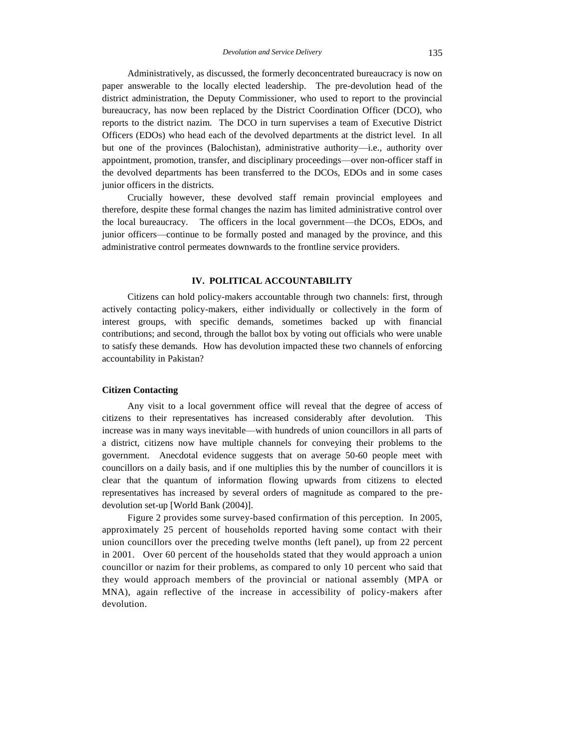Administratively, as discussed, the formerly deconcentrated bureaucracy is now on paper answerable to the locally elected leadership. The pre-devolution head of the district administration, the Deputy Commissioner, who used to report to the provincial bureaucracy, has now been replaced by the District Coordination Officer (DCO), who reports to the district nazim. The DCO in turn supervises a team of Executive District Officers (EDOs) who head each of the devolved departments at the district level. In all but one of the provinces (Balochistan), administrative authority—i.e., authority over appointment, promotion, transfer, and disciplinary proceedings—over non-officer staff in the devolved departments has been transferred to the DCOs, EDOs and in some cases junior officers in the districts.

Crucially however, these devolved staff remain provincial employees and therefore, despite these formal changes the nazim has limited administrative control over the local bureaucracy. The officers in the local government—the DCOs, EDOs, and junior officers—continue to be formally posted and managed by the province, and this administrative control permeates downwards to the frontline service providers.

# **IV. POLITICAL ACCOUNTABILITY**

Citizens can hold policy-makers accountable through two channels: first, through actively contacting policy-makers, either individually or collectively in the form of interest groups, with specific demands, sometimes backed up with financial contributions; and second, through the ballot box by voting out officials who were unable to satisfy these demands. How has devolution impacted these two channels of enforcing accountability in Pakistan?

# **Citizen Contacting**

Any visit to a local government office will reveal that the degree of access of citizens to their representatives has increased considerably after devolution. This increase was in many ways inevitable—with hundreds of union councillors in all parts of a district, citizens now have multiple channels for conveying their problems to the government. Anecdotal evidence suggests that on average 50-60 people meet with councillors on a daily basis, and if one multiplies this by the number of councillors it is clear that the quantum of information flowing upwards from citizens to elected representatives has increased by several orders of magnitude as compared to the predevolution set-up [World Bank (2004)].

Figure 2 provides some survey-based confirmation of this perception. In 2005, approximately 25 percent of households reported having some contact with their union councillors over the preceding twelve months (left panel), up from 22 percent in 2001. Over 60 percent of the households stated that they would approach a union councillor or nazim for their problems, as compared to only 10 percent who said that they would approach members of the provincial or national assembly (MPA or MNA), again reflective of the increase in accessibility of policy-makers after devolution.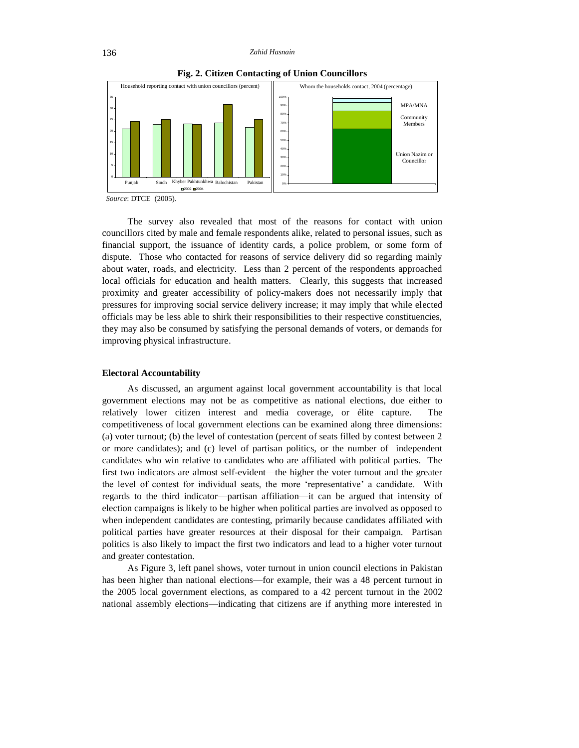

**Fig. 2. Citizen Contacting of Union Councillors**

 *Source*: DTCE (2005).

The survey also revealed that most of the reasons for contact with union councillors cited by male and female respondents alike, related to personal issues, such as financial support, the issuance of identity cards, a police problem, or some form of dispute.Those who contacted for reasons of service delivery did so regarding mainly about water, roads, and electricity. Less than 2 percent of the respondents approached local officials for education and health matters. Clearly, this suggests that increased proximity and greater accessibility of policy-makers does not necessarily imply that pressures for improving social service delivery increase; it may imply that while elected officials may be less able to shirk their responsibilities to their respective constituencies, they may also be consumed by satisfying the personal demands of voters, or demands for improving physical infrastructure.

## **Electoral Accountability**

As discussed, an argument against local government accountability is that local government elections may not be as competitive as national elections, due either to relatively lower citizen interest and media coverage, or élite capture. The competitiveness of local government elections can be examined along three dimensions: (a) voter turnout; (b) the level of contestation (percent of seats filled by contest between 2 or more candidates); and (c) level of partisan politics, or the number of independent candidates who win relative to candidates who are affiliated with political parties. The first two indicators are almost self-evident—the higher the voter turnout and the greater the level of contest for individual seats, the more 'representative' a candidate. With regards to the third indicator—partisan affiliation—it can be argued that intensity of election campaigns is likely to be higher when political parties are involved as opposed to when independent candidates are contesting, primarily because candidates affiliated with political parties have greater resources at their disposal for their campaign. Partisan politics is also likely to impact the first two indicators and lead to a higher voter turnout and greater contestation.

As Figure 3, left panel shows, voter turnout in union council elections in Pakistan has been higher than national elections—for example, their was a 48 percent turnout in the 2005 local government elections, as compared to a 42 percent turnout in the 2002 national assembly elections—indicating that citizens are if anything more interested in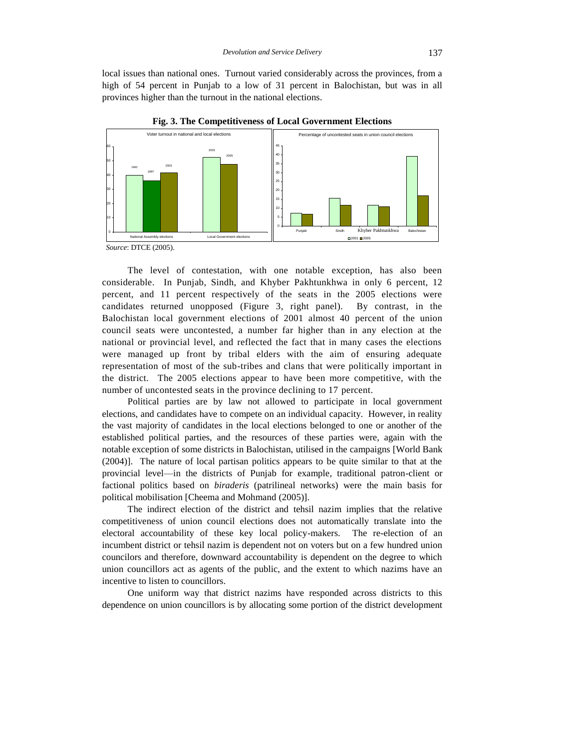local issues than national ones. Turnout varied considerably across the provinces, from a high of 54 percent in Punjab to a low of 31 percent in Balochistan, but was in all provinces higher than the turnout in the national elections.



**Fig. 3. The Competitiveness of Local Government Elections**

The level of contestation, with one notable exception, has also been considerable. In Punjab, Sindh, and Khyber Pakhtunkhwa in only 6 percent, 12 percent, and 11 percent respectively of the seats in the 2005 elections were candidates returned unopposed (Figure 3, right panel). By contrast, in the Balochistan local government elections of 2001 almost 40 percent of the union council seats were uncontested, a number far higher than in any election at the national or provincial level, and reflected the fact that in many cases the elections were managed up front by tribal elders with the aim of ensuring adequate representation of most of the sub-tribes and clans that were politically important in the district. The 2005 elections appear to have been more competitive, with the number of uncontested seats in the province declining to 17 percent.

Political parties are by law not allowed to participate in local government elections, and candidates have to compete on an individual capacity. However, in reality the vast majority of candidates in the local elections belonged to one or another of the established political parties, and the resources of these parties were, again with the notable exception of some districts in Balochistan, utilised in the campaigns [World Bank (2004)]. The nature of local partisan politics appears to be quite similar to that at the provincial level—in the districts of Punjab for example, traditional patron-client or factional politics based on *biraderis* (patrilineal networks) were the main basis for political mobilisation [Cheema and Mohmand (2005)].

The indirect election of the district and tehsil nazim implies that the relative competitiveness of union council elections does not automatically translate into the electoral accountability of these key local policy-makers. The re-election of an incumbent district or tehsil nazim is dependent not on voters but on a few hundred union councilors and therefore, downward accountability is dependent on the degree to which union councillors act as agents of the public, and the extent to which nazims have an incentive to listen to councillors.

One uniform way that district nazims have responded across districts to this dependence on union councillors is by allocating some portion of the district development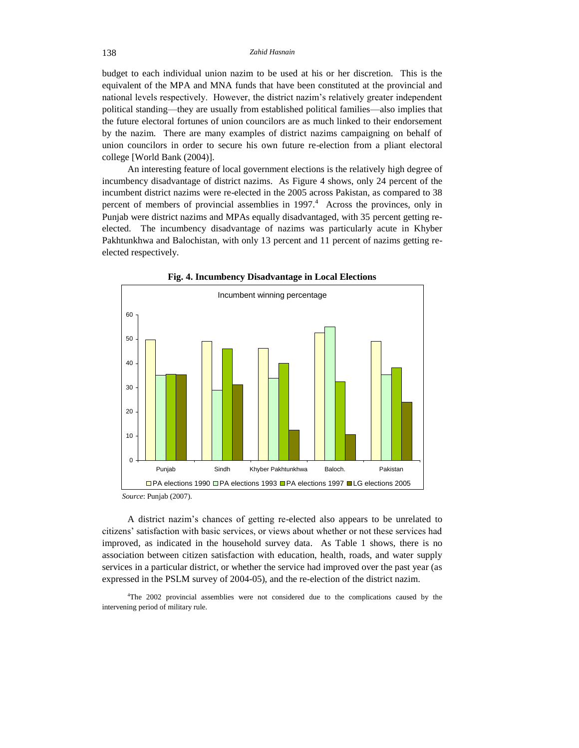budget to each individual union nazim to be used at his or her discretion. This is the equivalent of the MPA and MNA funds that have been constituted at the provincial and national levels respectively. However, the district nazim's relatively greater independent political standing—they are usually from established political families—also implies that the future electoral fortunes of union councilors are as much linked to their endorsement by the nazim. There are many examples of district nazims campaigning on behalf of union councilors in order to secure his own future re-election from a pliant electoral college [World Bank (2004)].

An interesting feature of local government elections is the relatively high degree of incumbency disadvantage of district nazims. As Figure 4 shows, only 24 percent of the incumbent district nazims were re-elected in the 2005 across Pakistan, as compared to 38 percent of members of provincial assemblies in  $1997<sup>4</sup>$  Across the provinces, only in Punjab were district nazims and MPAs equally disadvantaged, with 35 percent getting reelected. The incumbency disadvantage of nazims was particularly acute in Khyber Pakhtunkhwa and Balochistan, with only 13 percent and 11 percent of nazims getting reelected respectively.



**Fig. 4. Incumbency Disadvantage in Local Elections**

*Source*: Punjab (2007).

A district nazim's chances of getting re-elected also appears to be unrelated to citizens' satisfaction with basic services, or views about whether or not these services had improved, as indicated in the household survey data. As [Table 1](#page-10-0) shows, there is no association between citizen satisfaction with education, health, roads, and water supply services in a particular district, or whether the service had improved over the past year (as expressed in the PSLM survey of 2004-05), and the re-election of the district nazim.

<sup>4</sup>The 2002 provincial assemblies were not considered due to the complications caused by the intervening period of military rule.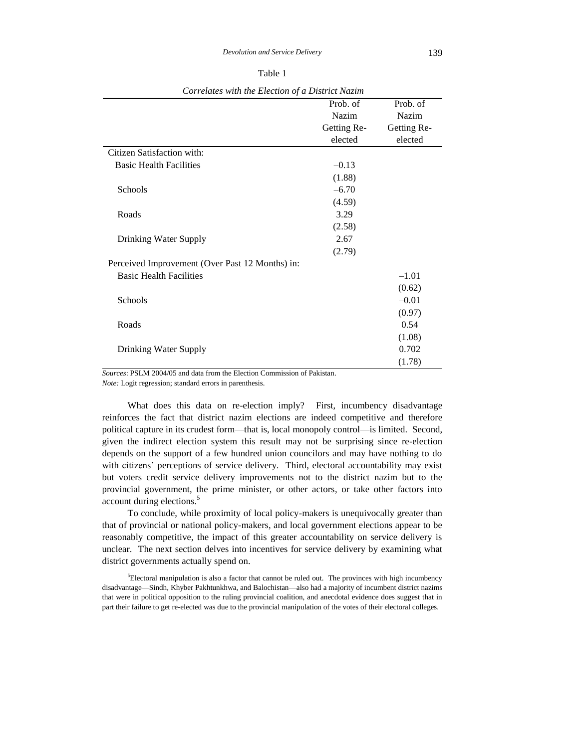| ۹ |  |
|---|--|
|---|--|

<span id="page-10-0"></span>

| correlates will the Election of a District Hazim |             |             |  |
|--------------------------------------------------|-------------|-------------|--|
|                                                  | Prob. of    | Prob. of    |  |
|                                                  | Nazim       | Nazim       |  |
|                                                  | Getting Re- | Getting Re- |  |
|                                                  | elected     | elected     |  |
| Citizen Satisfaction with:                       |             |             |  |
| <b>Basic Health Facilities</b>                   | $-0.13$     |             |  |
|                                                  | (1.88)      |             |  |
| Schools                                          | $-6.70$     |             |  |
|                                                  | (4.59)      |             |  |
| Roads                                            | 3.29        |             |  |
|                                                  | (2.58)      |             |  |
| Drinking Water Supply                            | 2.67        |             |  |
|                                                  | (2.79)      |             |  |
| Perceived Improvement (Over Past 12 Months) in:  |             |             |  |
| <b>Basic Health Facilities</b>                   |             | $-1.01$     |  |
|                                                  |             | (0.62)      |  |
|                                                  |             |             |  |
| Schools                                          |             | $-0.01$     |  |
|                                                  |             | (0.97)      |  |
| Roads                                            |             | 0.54        |  |
|                                                  |             | (1.08)      |  |
| Drinking Water Supply                            |             | 0.702       |  |
|                                                  |             | (1.78)      |  |

*Correlates with the Election of a District Nazim*

*Sources*: PSLM 2004/05 and data from the Election Commission of Pakistan.

*Note:* Logit regression; standard errors in parenthesis.

What does this data on re-election imply? First, incumbency disadvantage reinforces the fact that district nazim elections are indeed competitive and therefore political capture in its crudest form—that is, local monopoly control—is limited. Second, given the indirect election system this result may not be surprising since re-election depends on the support of a few hundred union councilors and may have nothing to do with citizens' perceptions of service delivery. Third, electoral accountability may exist but voters credit service delivery improvements not to the district nazim but to the provincial government, the prime minister, or other actors, or take other factors into account during elections.<sup>5</sup>

To conclude, while proximity of local policy-makers is unequivocally greater than that of provincial or national policy-makers, and local government elections appear to be reasonably competitive, the impact of this greater accountability on service delivery is unclear. The next section delves into incentives for service delivery by examining what district governments actually spend on.

 ${}^{5}$ Electoral manipulation is also a factor that cannot be ruled out. The provinces with high incumbency disadvantage—Sindh, Khyber Pakhtunkhwa, and Balochistan—also had a majority of incumbent district nazims that were in political opposition to the ruling provincial coalition, and anecdotal evidence does suggest that in part their failure to get re-elected was due to the provincial manipulation of the votes of their electoral colleges.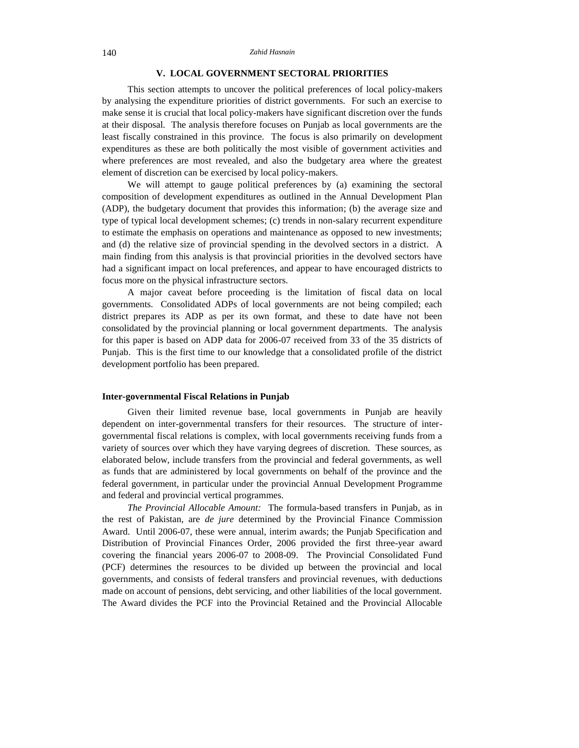# **V. LOCAL GOVERNMENT SECTORAL PRIORITIES**

This section attempts to uncover the political preferences of local policy-makers by analysing the expenditure priorities of district governments. For such an exercise to make sense it is crucial that local policy-makers have significant discretion over the funds at their disposal. The analysis therefore focuses on Punjab as local governments are the least fiscally constrained in this province. The focus is also primarily on development expenditures as these are both politically the most visible of government activities and where preferences are most revealed, and also the budgetary area where the greatest element of discretion can be exercised by local policy-makers.

We will attempt to gauge political preferences by (a) examining the sectoral composition of development expenditures as outlined in the Annual Development Plan (ADP), the budgetary document that provides this information; (b) the average size and type of typical local development schemes; (c) trends in non-salary recurrent expenditure to estimate the emphasis on operations and maintenance as opposed to new investments; and (d) the relative size of provincial spending in the devolved sectors in a district. A main finding from this analysis is that provincial priorities in the devolved sectors have had a significant impact on local preferences, and appear to have encouraged districts to focus more on the physical infrastructure sectors.

A major caveat before proceeding is the limitation of fiscal data on local governments. Consolidated ADPs of local governments are not being compiled; each district prepares its ADP as per its own format, and these to date have not been consolidated by the provincial planning or local government departments. The analysis for this paper is based on ADP data for 2006-07 received from 33 of the 35 districts of Punjab. This is the first time to our knowledge that a consolidated profile of the district development portfolio has been prepared.

## **Inter-governmental Fiscal Relations in Punjab**

Given their limited revenue base, local governments in Punjab are heavily dependent on inter-governmental transfers for their resources. The structure of intergovernmental fiscal relations is complex, with local governments receiving funds from a variety of sources over which they have varying degrees of discretion. These sources, as elaborated below, include transfers from the provincial and federal governments, as well as funds that are administered by local governments on behalf of the province and the federal government, in particular under the provincial Annual Development Programme and federal and provincial vertical programmes.

*The Provincial Allocable Amount:* The formula-based transfers in Punjab, as in the rest of Pakistan, are *de jure* determined by the Provincial Finance Commission Award. Until 2006-07, these were annual, interim awards; the Punjab Specification and Distribution of Provincial Finances Order, 2006 provided the first three-year award covering the financial years 2006-07 to 2008-09. The Provincial Consolidated Fund (PCF) determines the resources to be divided up between the provincial and local governments, and consists of federal transfers and provincial revenues, with deductions made on account of pensions, debt servicing, and other liabilities of the local government. The Award divides the PCF into the Provincial Retained and the Provincial Allocable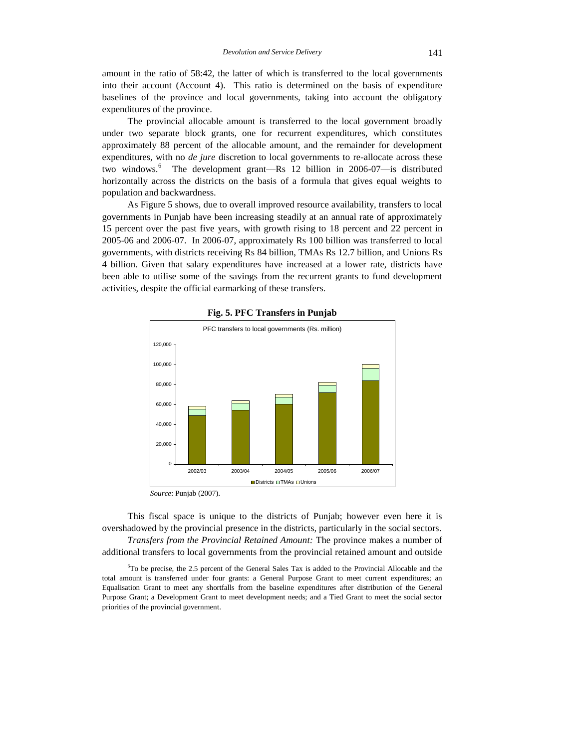amount in the ratio of 58:42, the latter of which is transferred to the local governments into their account (Account 4). This ratio is determined on the basis of expenditure baselines of the province and local governments, taking into account the obligatory expenditures of the province.

The provincial allocable amount is transferred to the local government broadly under two separate block grants, one for recurrent expenditures, which constitutes approximately 88 percent of the allocable amount, and the remainder for development expenditures, with no *de jure* discretion to local governments to re-allocate across these two windows.<sup>6</sup> The development grant—Rs 12 billion in 2006-07—is distributed horizontally across the districts on the basis of a formula that gives equal weights to population and backwardness.

As Figure 5 shows, due to overall improved resource availability, transfers to local governments in Punjab have been increasing steadily at an annual rate of approximately 15 percent over the past five years, with growth rising to 18 percent and 22 percent in 2005-06 and 2006-07. In 2006-07, approximately Rs 100 billion was transferred to local governments, with districts receiving Rs 84 billion, TMAs Rs 12.7 billion, and Unions Rs 4 billion. Given that salary expenditures have increased at a lower rate, districts have been able to utilise some of the savings from the recurrent grants to fund development activities, despite the official earmarking of these transfers.





*Source*: Punjab (2007).

This fiscal space is unique to the districts of Punjab; however even here it is overshadowed by the provincial presence in the districts, particularly in the social sectors. *Transfers from the Provincial Retained Amount:* The province makes a number of additional transfers to local governments from the provincial retained amount and outside

<sup>6</sup>To be precise, the 2.5 percent of the General Sales Tax is added to the Provincial Allocable and the total amount is transferred under four grants: a General Purpose Grant to meet current expenditures; an Equalisation Grant to meet any shortfalls from the baseline expenditures after distribution of the General Purpose Grant; a Development Grant to meet development needs; and a Tied Grant to meet the social sector priorities of the provincial government.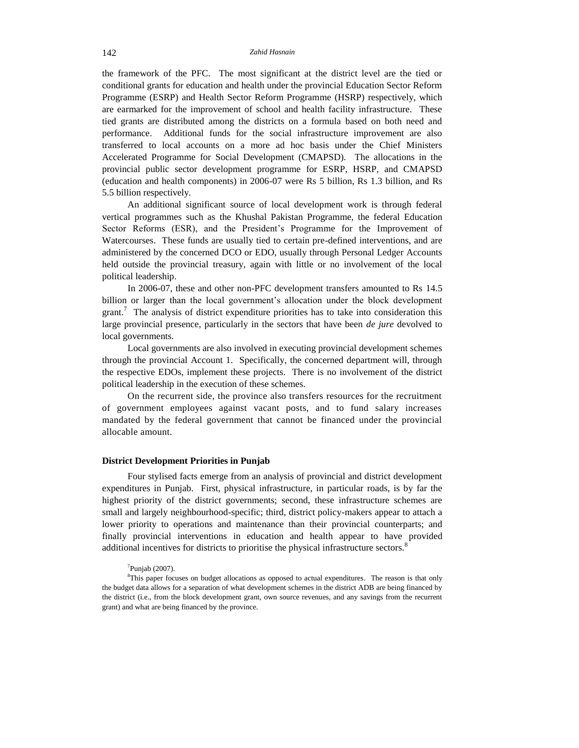the framework of the PFC. The most significant at the district level are the tied or conditional grants for education and health under the provincial Education Sector Reform Programme (ESRP) and Health Sector Reform Programme (HSRP) respectively, which are earmarked for the improvement of school and health facility infrastructure. These tied grants are distributed among the districts on a formula based on both need and performance. Additional funds for the social infrastructure improvement are also transferred to local accounts on a more ad hoc basis under the Chief Ministers Accelerated Programme for Social Development (CMAPSD). The allocations in the provincial public sector development programme for ESRP, HSRP, and CMAPSD (education and health components) in 2006-07 were Rs 5 billion, Rs 1.3 billion, and Rs 5.5 billion respectively.

An additional significant source of local development work is through federal vertical programmes such as the Khushal Pakistan Programme, the federal Education Sector Reforms (ESR), and the President's Programme for the Improvement of Watercourses. These funds are usually tied to certain pre-defined interventions, and are administered by the concerned DCO or EDO, usually through Personal Ledger Accounts held outside the provincial treasury, again with little or no involvement of the local political leadership.

In 2006-07, these and other non-PFC development transfers amounted to Rs 14.5 billion or larger than the local government's allocation under the block development grant.<sup>7</sup> The analysis of district expenditure priorities has to take into consideration this large provincial presence, particularly in the sectors that have been *de jure* devolved to local governments.

Local governments are also involved in executing provincial development schemes through the provincial Account 1. Specifically, the concerned department will, through the respective EDOs, implement these projects. There is no involvement of the district political leadership in the execution of these schemes.

On the recurrent side, the province also transfers resources for the recruitment of government employees against vacant posts, and to fund salary increases mandated by the federal government that cannot be financed under the provincial allocable amount.

## **District Development Priorities in Punjab**

Four stylised facts emerge from an analysis of provincial and district development expenditures in Punjab. First, physical infrastructure, in particular roads, is by far the highest priority of the district governments; second, these infrastructure schemes are small and largely neighbourhood-specific; third, district policy-makers appear to attach a lower priority to operations and maintenance than their provincial counterparts; and finally provincial interventions in education and health appear to have provided additional incentives for districts to prioritise the physical infrastructure sectors.<sup>8</sup>

#### $7$ Punjab (2007).

<sup>&</sup>lt;sup>8</sup>This paper focuses on budget allocations as opposed to actual expenditures. The reason is that only the budget data allows for a separation of what development schemes in the district ADB are being financed by the district (i.e., from the block development grant, own source revenues, and any savings from the recurrent grant) and what are being financed by the province.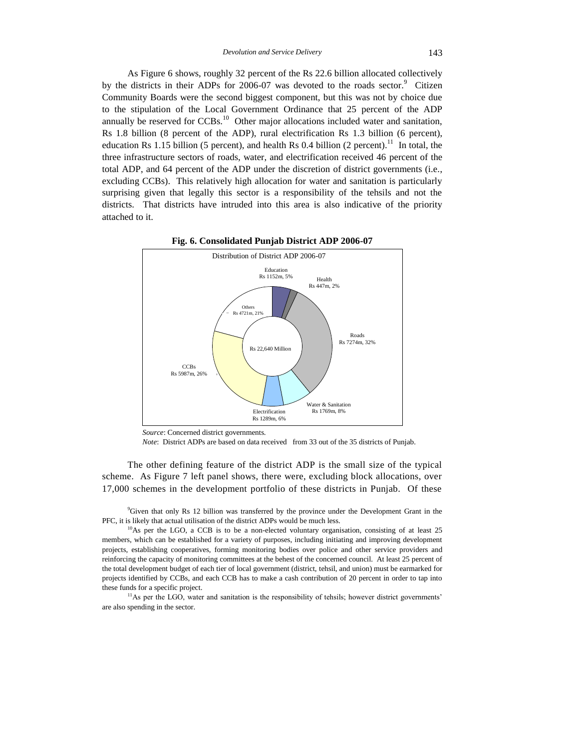As Figure 6 shows, roughly 32 percent of the Rs 22.6 billion allocated collectively by the districts in their ADPs for 2006-07 was devoted to the roads sector. $9$  Citizen Community Boards were the second biggest component, but this was not by choice due to the stipulation of the Local Government Ordinance that 25 percent of the ADP annually be reserved for  $CCBs$ .<sup>10</sup> Other major allocations included water and sanitation, Rs 1.8 billion (8 percent of the ADP), rural electrification Rs 1.3 billion (6 percent), education Rs 1.15 billion (5 percent), and health Rs 0.4 billion (2 percent).<sup>11</sup> In total, the three infrastructure sectors of roads, water, and electrification received 46 percent of the total ADP, and 64 percent of the ADP under the discretion of district governments (i.e., excluding CCBs). This relatively high allocation for water and sanitation is particularly surprising given that legally this sector is a responsibility of the tehsils and not the districts. That districts have intruded into this area is also indicative of the priority attached to it.





*Note*: District ADPs are based on data received from 33 out of the 35 districts of Punjab.

The other defining feature of the district ADP is the small size of the typical scheme. As Figure 7 left panel shows, there were, excluding block allocations, over 17,000 schemes in the development portfolio of these districts in Punjab. Of these

<sup>9</sup>Given that only Rs 12 billion was transferred by the province under the Development Grant in the PFC, it is likely that actual utilisation of the district ADPs would be much less.

 $10$ As per the LGO, a CCB is to be a non-elected voluntary organisation, consisting of at least 25 members, which can be established for a variety of purposes, including initiating and improving development projects, establishing cooperatives, forming monitoring bodies over police and other service providers and reinforcing the capacity of monitoring committees at the behest of the concerned council. At least 25 percent of the total development budget of each tier of local government (district, tehsil, and union) must be earmarked for projects identified by CCBs, and each CCB has to make a cash contribution of 20 percent in order to tap into these funds for a specific project.

<sup>11</sup>As per the LGO, water and sanitation is the responsibility of tehsils; however district governments' are also spending in the sector.

*Source*: Concerned district governments.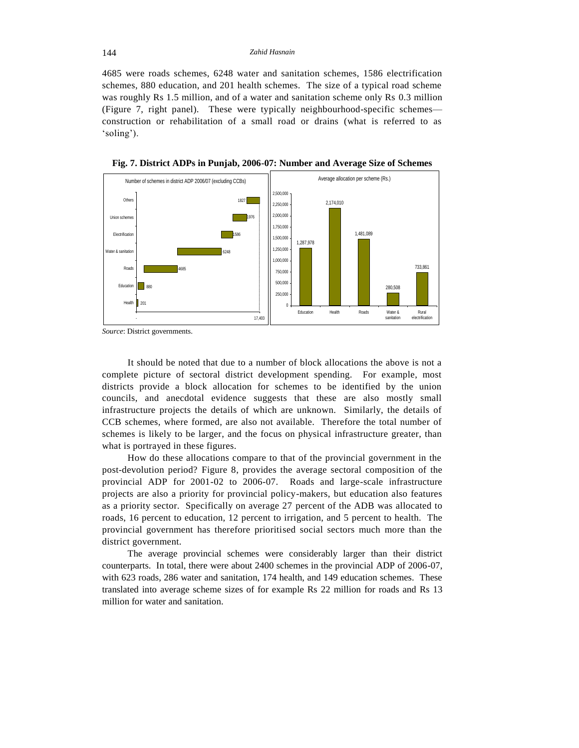4685 were roads schemes, 6248 water and sanitation schemes, 1586 electrification schemes, 880 education, and 201 health schemes. The size of a typical road scheme was roughly Rs 1.5 million, and of a water and sanitation scheme only Rs 0.3 million (Figure 7, right panel). These were typically neighbourhood-specific schemes construction or rehabilitation of a small road or drains (what is referred to as 'soling').



**Fig. 7. District ADPs in Punjab, 2006-07: Number and Average Size of Schemes**

*Source*: District governments.

It should be noted that due to a number of block allocations the above is not a complete picture of sectoral district development spending. For example, most districts provide a block allocation for schemes to be identified by the union councils, and anecdotal evidence suggests that these are also mostly small infrastructure projects the details of which are unknown. Similarly, the details of CCB schemes, where formed, are also not available. Therefore the total number of schemes is likely to be larger, and the focus on physical infrastructure greater, than what is portrayed in these figures.

How do these allocations compare to that of the provincial government in the post-devolution period? Figure 8, provides the average sectoral composition of the provincial ADP for 2001-02 to 2006-07. Roads and large-scale infrastructure projects are also a priority for provincial policy-makers, but education also features as a priority sector. Specifically on average 27 percent of the ADB was allocated to roads, 16 percent to education, 12 percent to irrigation, and 5 percent to health. The provincial government has therefore prioritised social sectors much more than the district government.

The average provincial schemes were considerably larger than their district counterparts. In total, there were about 2400 schemes in the provincial ADP of 2006-07, with 623 roads, 286 water and sanitation, 174 health, and 149 education schemes. These translated into average scheme sizes of for example Rs 22 million for roads and Rs 13 million for water and sanitation.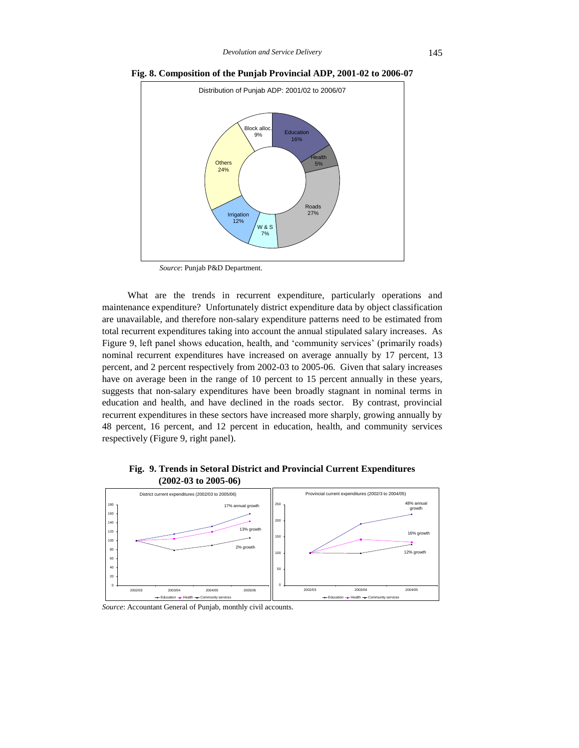

**Fig. 8. Composition of the Punjab Provincial ADP, 2001-02 to 2006-07**

*Source*: Punjab P&D Department.

What are the trends in recurrent expenditure, particularly operations and maintenance expenditure? Unfortunately district expenditure data by object classification are unavailable, and therefore non-salary expenditure patterns need to be estimated from total recurrent expenditures taking into account the annual stipulated salary increases. As Figure 9, left panel shows education, health, and 'community services' (primarily roads) nominal recurrent expenditures have increased on average annually by 17 percent, 13 percent, and 2 percent respectively from 2002-03 to 2005-06. Given that salary increases have on average been in the range of 10 percent to 15 percent annually in these years, suggests that non-salary expenditures have been broadly stagnant in nominal terms in education and health, and have declined in the roads sector. By contrast, provincial recurrent expenditures in these sectors have increased more sharply, growing annually by 48 percent, 16 percent, and 12 percent in education, health, and community services respectively (Figure 9, right panel).

**Fig. 9. Trends in Setoral District and Provincial Current Expenditures (2002-03 to 2005-06)**



*Source*: Accountant General of Punjab, monthly civil accounts.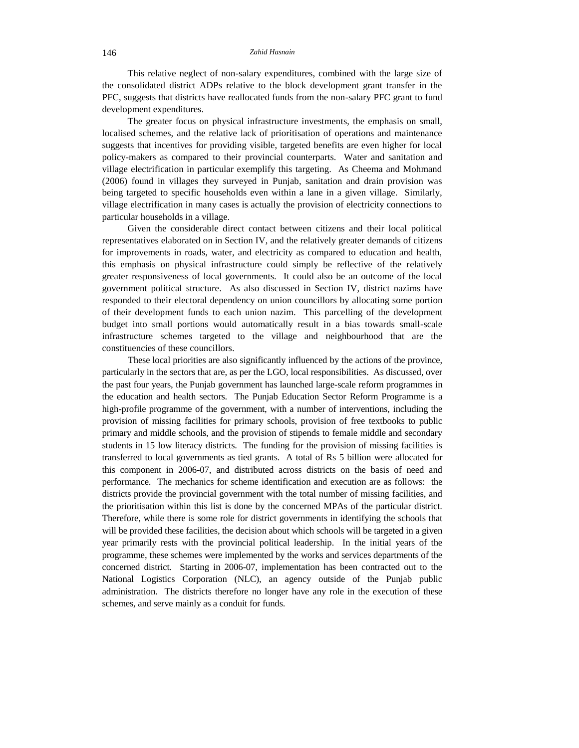This relative neglect of non-salary expenditures, combined with the large size of the consolidated district ADPs relative to the block development grant transfer in the PFC, suggests that districts have reallocated funds from the non-salary PFC grant to fund development expenditures.

The greater focus on physical infrastructure investments, the emphasis on small, localised schemes, and the relative lack of prioritisation of operations and maintenance suggests that incentives for providing visible, targeted benefits are even higher for local policy-makers as compared to their provincial counterparts. Water and sanitation and village electrification in particular exemplify this targeting. As Cheema and Mohmand (2006) found in villages they surveyed in Punjab, sanitation and drain provision was being targeted to specific households even within a lane in a given village. Similarly, village electrification in many cases is actually the provision of electricity connections to particular households in a village.

Given the considerable direct contact between citizens and their local political representatives elaborated on in Section IV, and the relatively greater demands of citizens for improvements in roads, water, and electricity as compared to education and health, this emphasis on physical infrastructure could simply be reflective of the relatively greater responsiveness of local governments. It could also be an outcome of the local government political structure. As also discussed in Section IV, district nazims have responded to their electoral dependency on union councillors by allocating some portion of their development funds to each union nazim. This parcelling of the development budget into small portions would automatically result in a bias towards small-scale infrastructure schemes targeted to the village and neighbourhood that are the constituencies of these councillors.

These local priorities are also significantly influenced by the actions of the province, particularly in the sectors that are, as per the LGO, local responsibilities. As discussed, over the past four years, the Punjab government has launched large-scale reform programmes in the education and health sectors. The Punjab Education Sector Reform Programme is a high-profile programme of the government, with a number of interventions, including the provision of missing facilities for primary schools, provision of free textbooks to public primary and middle schools, and the provision of stipends to female middle and secondary students in 15 low literacy districts. The funding for the provision of missing facilities is transferred to local governments as tied grants. A total of Rs 5 billion were allocated for this component in 2006-07, and distributed across districts on the basis of need and performance. The mechanics for scheme identification and execution are as follows: the districts provide the provincial government with the total number of missing facilities, and the prioritisation within this list is done by the concerned MPAs of the particular district. Therefore, while there is some role for district governments in identifying the schools that will be provided these facilities, the decision about which schools will be targeted in a given year primarily rests with the provincial political leadership. In the initial years of the programme, these schemes were implemented by the works and services departments of the concerned district. Starting in 2006-07, implementation has been contracted out to the National Logistics Corporation (NLC), an agency outside of the Punjab public administration. The districts therefore no longer have any role in the execution of these schemes, and serve mainly as a conduit for funds.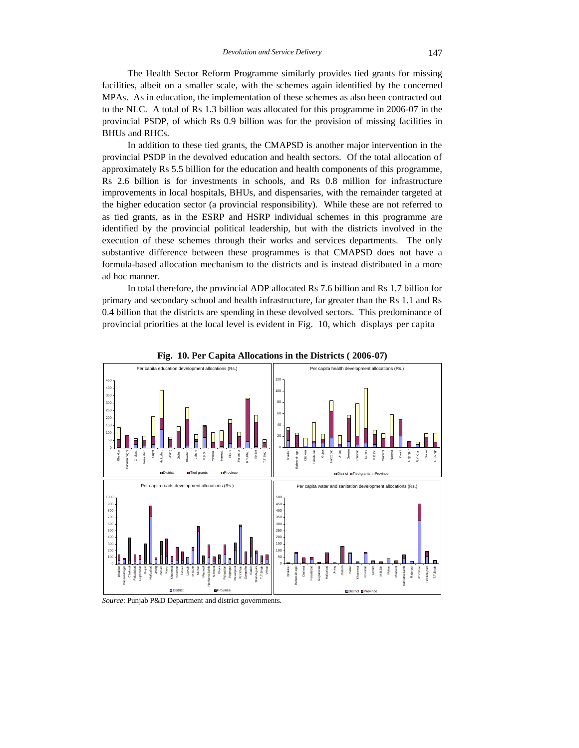The Health Sector Reform Programme similarly provides tied grants for missing facilities, albeit on a smaller scale, with the schemes again identified by the concerned MPAs. As in education, the implementation of these schemes as also been contracted out to the NLC. A total of Rs 1.3 billion was allocated for this programme in 2006-07 in the provincial PSDP, of which Rs 0.9 billion was for the provision of missing facilities in BHUs and RHCs.

In addition to these tied grants, the CMAPSD is another major intervention in the provincial PSDP in the devolved education and health sectors. Of the total allocation of approximately Rs 5.5 billion for the education and health components of this programme, Rs 2.6 billion is for investments in schools, and Rs 0.8 million for infrastructure improvements in local hospitals, BHUs, and dispensaries, with the remainder targeted at the higher education sector (a provincial responsibility). While these are not referred to as tied grants, as in the ESRP and HSRP individual schemes in this programme are identified by the provincial political leadership, but with the districts involved in the execution of these schemes through their works and services departments. The only substantive difference between these programmes is that CMAPSD does not have a formula-based allocation mechanism to the districts and is instead distributed in a more ad hoc manner.

In total therefore, the provincial ADP allocated Rs 7.6 billion and Rs 1.7 billion for primary and secondary school and health infrastructure, far greater than the Rs 1.1 and Rs 0.4 billion that the districts are spending in these devolved sectors. This predominance of provincial priorities at the local level is evident in [Fig. 10,](#page-18-0) which displays per capita

<span id="page-18-0"></span>



*Source*: Punjab P&D Department and district governments.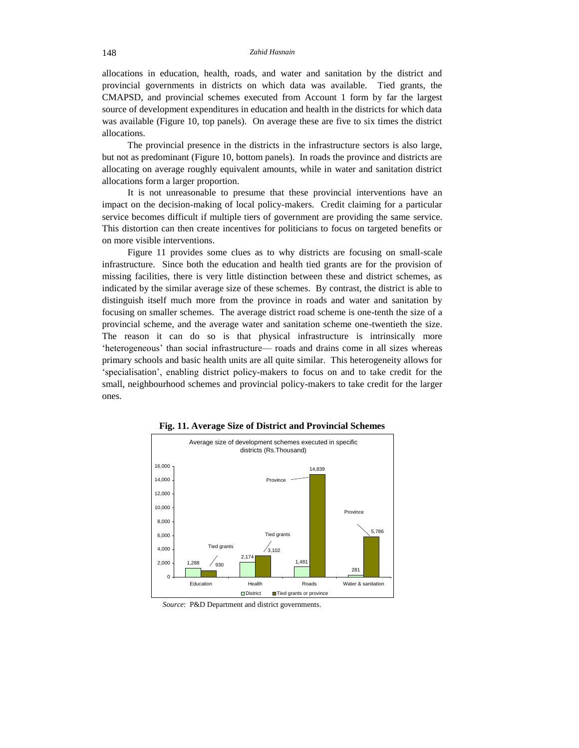allocations in education, health, roads, and water and sanitation by the district and provincial governments in districts on which data was available. Tied grants, the CMAPSD, and provincial schemes executed from Account 1 form by far the largest source of development expenditures in education and health in the districts for which data was available (Figure 10, top panels). On average these are five to six times the district allocations.

The provincial presence in the districts in the infrastructure sectors is also large, but not as predominant (Figure 10, bottom panels). In roads the province and districts are allocating on average roughly equivalent amounts, while in water and sanitation district allocations form a larger proportion.

It is not unreasonable to presume that these provincial interventions have an impact on the decision-making of local policy-makers. Credit claiming for a particular service becomes difficult if multiple tiers of government are providing the same service. This distortion can then create incentives for politicians to focus on targeted benefits or on more visible interventions.

Figure 11 provides some clues as to why districts are focusing on small-scale infrastructure. Since both the education and health tied grants are for the provision of missing facilities, there is very little distinction between these and district schemes, as indicated by the similar average size of these schemes. By contrast, the district is able to distinguish itself much more from the province in roads and water and sanitation by focusing on smaller schemes. The average district road scheme is one-tenth the size of a provincial scheme, and the average water and sanitation scheme one-twentieth the size. The reason it can do so is that physical infrastructure is intrinsically more 'heterogeneous' than social infrastructure— roads and drains come in all sizes whereas primary schools and basic health units are all quite similar. This heterogeneity allows for 'specialisation', enabling district policy-makers to focus on and to take credit for the small, neighbourhood schemes and provincial policy-makers to take credit for the larger ones.



**Fig. 11. Average Size of District and Provincial Schemes**

*Source*: P&D Department and district governments.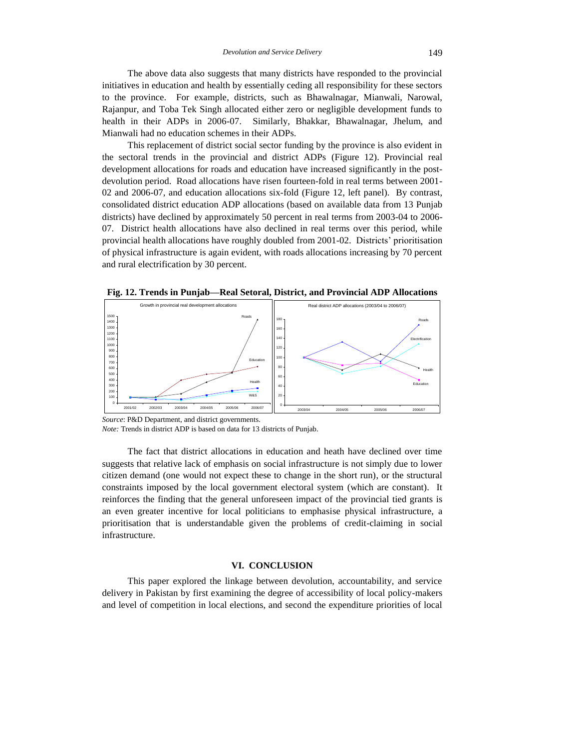The above data also suggests that many districts have responded to the provincial initiatives in education and health by essentially ceding all responsibility for these sectors to the province. For example, districts, such as Bhawalnagar, Mianwali, Narowal, Rajanpur, and Toba Tek Singh allocated either zero or negligible development funds to health in their ADPs in 2006-07. Similarly, Bhakkar, Bhawalnagar, Jhelum, and Mianwali had no education schemes in their ADPs.

This replacement of district social sector funding by the province is also evident in the sectoral trends in the provincial and district ADPs (Figure 12). Provincial real development allocations for roads and education have increased significantly in the postdevolution period. Road allocations have risen fourteen-fold in real terms between 2001- 02 and 2006-07, and education allocations six-fold (Figure 12, left panel). By contrast, consolidated district education ADP allocations (based on available data from 13 Punjab districts) have declined by approximately 50 percent in real terms from 2003-04 to 2006- 07. District health allocations have also declined in real terms over this period, while provincial health allocations have roughly doubled from 2001-02. Districts' prioritisation of physical infrastructure is again evident, with roads allocations increasing by 70 percent and rural electrification by 30 percent.

**Fig. 12. Trends in Punjab—Real Setoral, District, and Provincial ADP Allocations**



*Source*: P&D Department, and district governments.

*Note:* Trends in district ADP is based on data for 13 districts of Punjab.

The fact that district allocations in education and heath have declined over time suggests that relative lack of emphasis on social infrastructure is not simply due to lower citizen demand (one would not expect these to change in the short run), or the structural constraints imposed by the local government electoral system (which are constant). It reinforces the finding that the general unforeseen impact of the provincial tied grants is an even greater incentive for local politicians to emphasise physical infrastructure, a prioritisation that is understandable given the problems of credit-claiming in social infrastructure.

## **VI. CONCLUSION**

This paper explored the linkage between devolution, accountability, and service delivery in Pakistan by first examining the degree of accessibility of local policy-makers and level of competition in local elections, and second the expenditure priorities of local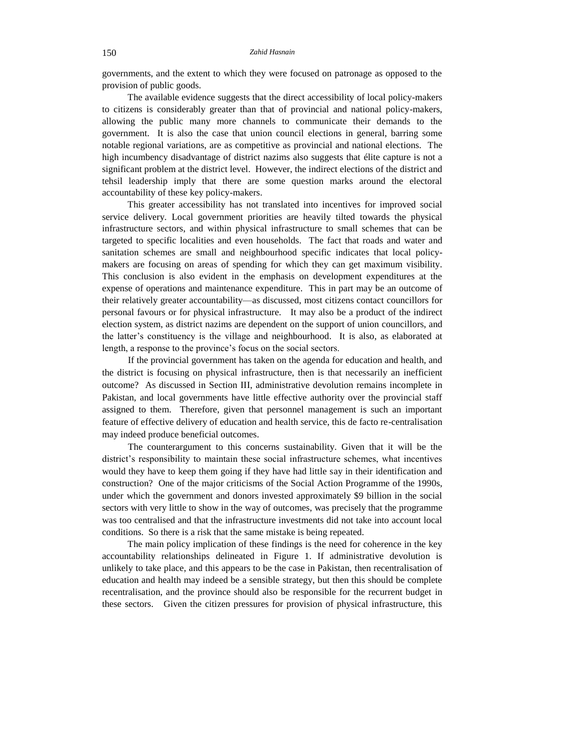governments, and the extent to which they were focused on patronage as opposed to the provision of public goods.

The available evidence suggests that the direct accessibility of local policy-makers to citizens is considerably greater than that of provincial and national policy-makers, allowing the public many more channels to communicate their demands to the government. It is also the case that union council elections in general, barring some notable regional variations, are as competitive as provincial and national elections. The high incumbency disadvantage of district nazims also suggests that élite capture is not a significant problem at the district level. However, the indirect elections of the district and tehsil leadership imply that there are some question marks around the electoral accountability of these key policy-makers.

This greater accessibility has not translated into incentives for improved social service delivery. Local government priorities are heavily tilted towards the physical infrastructure sectors, and within physical infrastructure to small schemes that can be targeted to specific localities and even households. The fact that roads and water and sanitation schemes are small and neighbourhood specific indicates that local policymakers are focusing on areas of spending for which they can get maximum visibility. This conclusion is also evident in the emphasis on development expenditures at the expense of operations and maintenance expenditure. This in part may be an outcome of their relatively greater accountability—as discussed, most citizens contact councillors for personal favours or for physical infrastructure. It may also be a product of the indirect election system, as district nazims are dependent on the support of union councillors, and the latter's constituency is the village and neighbourhood. It is also, as elaborated at length, a response to the province's focus on the social sectors.

If the provincial government has taken on the agenda for education and health, and the district is focusing on physical infrastructure, then is that necessarily an inefficient outcome? As discussed in Section III, administrative devolution remains incomplete in Pakistan, and local governments have little effective authority over the provincial staff assigned to them. Therefore, given that personnel management is such an important feature of effective delivery of education and health service, this de facto re-centralisation may indeed produce beneficial outcomes.

The counterargument to this concerns sustainability. Given that it will be the district's responsibility to maintain these social infrastructure schemes, what incentives would they have to keep them going if they have had little say in their identification and construction? One of the major criticisms of the Social Action Programme of the 1990s, under which the government and donors invested approximately \$9 billion in the social sectors with very little to show in the way of outcomes, was precisely that the programme was too centralised and that the infrastructure investments did not take into account local conditions. So there is a risk that the same mistake is being repeated.

The main policy implication of these findings is the need for coherence in the key accountability relationships delineated in Figure 1. If administrative devolution is unlikely to take place, and this appears to be the case in Pakistan, then recentralisation of education and health may indeed be a sensible strategy, but then this should be complete recentralisation, and the province should also be responsible for the recurrent budget in these sectors. Given the citizen pressures for provision of physical infrastructure, this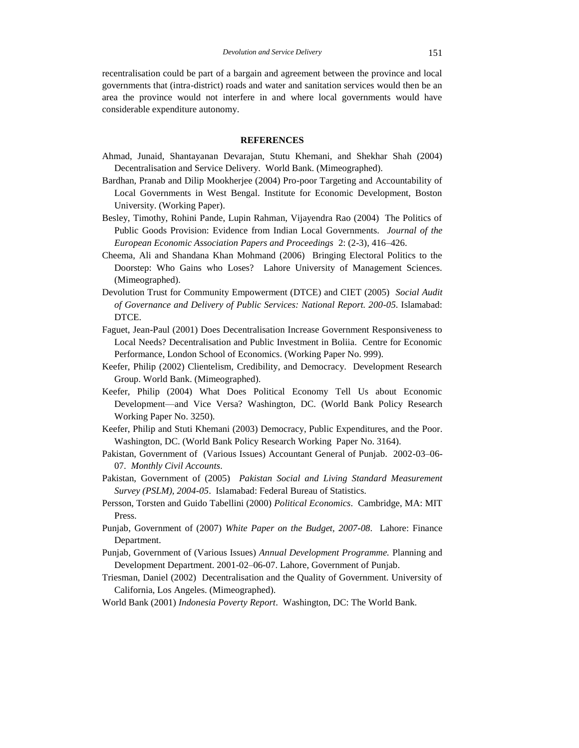recentralisation could be part of a bargain and agreement between the province and local governments that (intra-district) roads and water and sanitation services would then be an area the province would not interfere in and where local governments would have considerable expenditure autonomy.

# **REFERENCES**

- Ahmad, Junaid, Shantayanan Devarajan, Stutu Khemani, and Shekhar Shah (2004) Decentralisation and Service Delivery. World Bank. (Mimeographed).
- Bardhan, Pranab and Dilip Mookherjee (2004) Pro-poor Targeting and Accountability of Local Governments in West Bengal. Institute for Economic Development, Boston University. (Working Paper).
- Besley, Timothy, Rohini Pande, Lupin Rahman, Vijayendra Rao (2004) The Politics of Public Goods Provision: Evidence from Indian Local Governments. *Journal of the European Economic Association Papers and Proceedings* 2: (2-3), 416–426.
- Cheema, Ali and Shandana Khan Mohmand (2006) Bringing Electoral Politics to the Doorstep: Who Gains who Loses? Lahore University of Management Sciences. (Mimeographed).
- Devolution Trust for Community Empowerment (DTCE) and CIET (2005) *Social Audit of Governance and Delivery of Public Services: National Report. 200-05*. Islamabad: DTCE.
- Faguet, Jean-Paul (2001) Does Decentralisation Increase Government Responsiveness to Local Needs? Decentralisation and Public Investment in Boliia. Centre for Economic Performance, London School of Economics. (Working Paper No. 999).
- Keefer, Philip (2002) Clientelism, Credibility, and Democracy. Development Research Group. World Bank. (Mimeographed).
- Keefer, Philip (2004) What Does Political Economy Tell Us about Economic Development—and Vice Versa? Washington, DC. (World Bank Policy Research Working Paper No. 3250).
- Keefer, Philip and Stuti Khemani (2003) Democracy, Public Expenditures, and the Poor. Washington, DC. (World Bank Policy Research Working Paper No. 3164).
- Pakistan, Government of (Various Issues) Accountant General of Punjab. 2002-03–06- 07. *Monthly Civil Accounts*.
- Pakistan, Government of (2005) *Pakistan Social and Living Standard Measurement Survey (PSLM), 2004-05*. Islamabad: Federal Bureau of Statistics.
- Persson, Torsten and Guido Tabellini (2000) *Political Economics*. Cambridge, MA: MIT Press.
- Punjab, Government of (2007) *White Paper on the Budget, 2007-08*. Lahore: Finance Department.
- Punjab, Government of (Various Issues) *Annual Development Programme.* Planning and Development Department. 2001-02–06-07. Lahore, Government of Punjab.
- Triesman, Daniel (2002) Decentralisation and the Quality of Government. University of California, Los Angeles. (Mimeographed).
- World Bank (2001) *Indonesia Poverty Report*. Washington, DC: The World Bank.